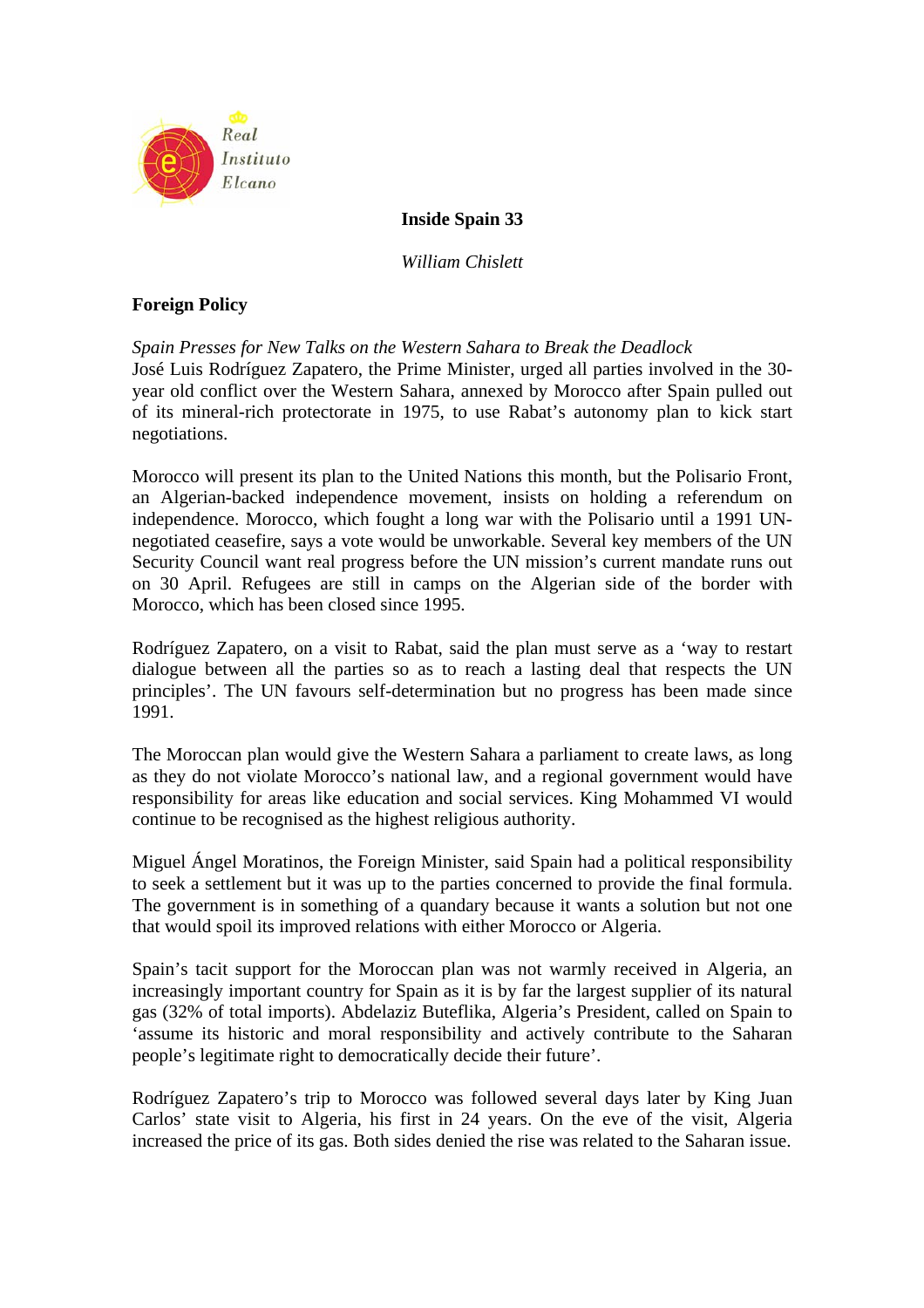

# **Inside Spain 33**

*William Chislett* 

# **Foreign Policy**

*Spain Presses for New Talks on the Western Sahara to Break the Deadlock*  José Luis Rodríguez Zapatero, the Prime Minister, urged all parties involved in the 30 year old conflict over the Western Sahara, annexed by Morocco after Spain pulled out of its mineral-rich protectorate in 1975, to use Rabat's autonomy plan to kick start negotiations.

Morocco will present its plan to the United Nations this month, but the Polisario Front, an Algerian-backed independence movement, insists on holding a referendum on independence. Morocco, which fought a long war with the Polisario until a 1991 UNnegotiated ceasefire, says a vote would be unworkable. Several key members of the UN Security Council want real progress before the UN mission's current mandate runs out on 30 April. Refugees are still in camps on the Algerian side of the border with Morocco, which has been closed since 1995.

Rodríguez Zapatero, on a visit to Rabat, said the plan must serve as a 'way to restart dialogue between all the parties so as to reach a lasting deal that respects the UN principles'. The UN favours self-determination but no progress has been made since 1991.

The Moroccan plan would give the Western Sahara a parliament to create laws, as long as they do not violate Morocco's national law, and a regional government would have responsibility for areas like education and social services. King Mohammed VI would continue to be recognised as the highest religious authority.

Miguel Ángel Moratinos, the Foreign Minister, said Spain had a political responsibility to seek a settlement but it was up to the parties concerned to provide the final formula. The government is in something of a quandary because it wants a solution but not one that would spoil its improved relations with either Morocco or Algeria.

Spain's tacit support for the Moroccan plan was not warmly received in Algeria, an increasingly important country for Spain as it is by far the largest supplier of its natural gas (32% of total imports). Abdelaziz Buteflika, Algeria's President, called on Spain to 'assume its historic and moral responsibility and actively contribute to the Saharan people's legitimate right to democratically decide their future'.

Rodríguez Zapatero's trip to Morocco was followed several days later by King Juan Carlos' state visit to Algeria, his first in 24 years. On the eve of the visit, Algeria increased the price of its gas. Both sides denied the rise was related to the Saharan issue.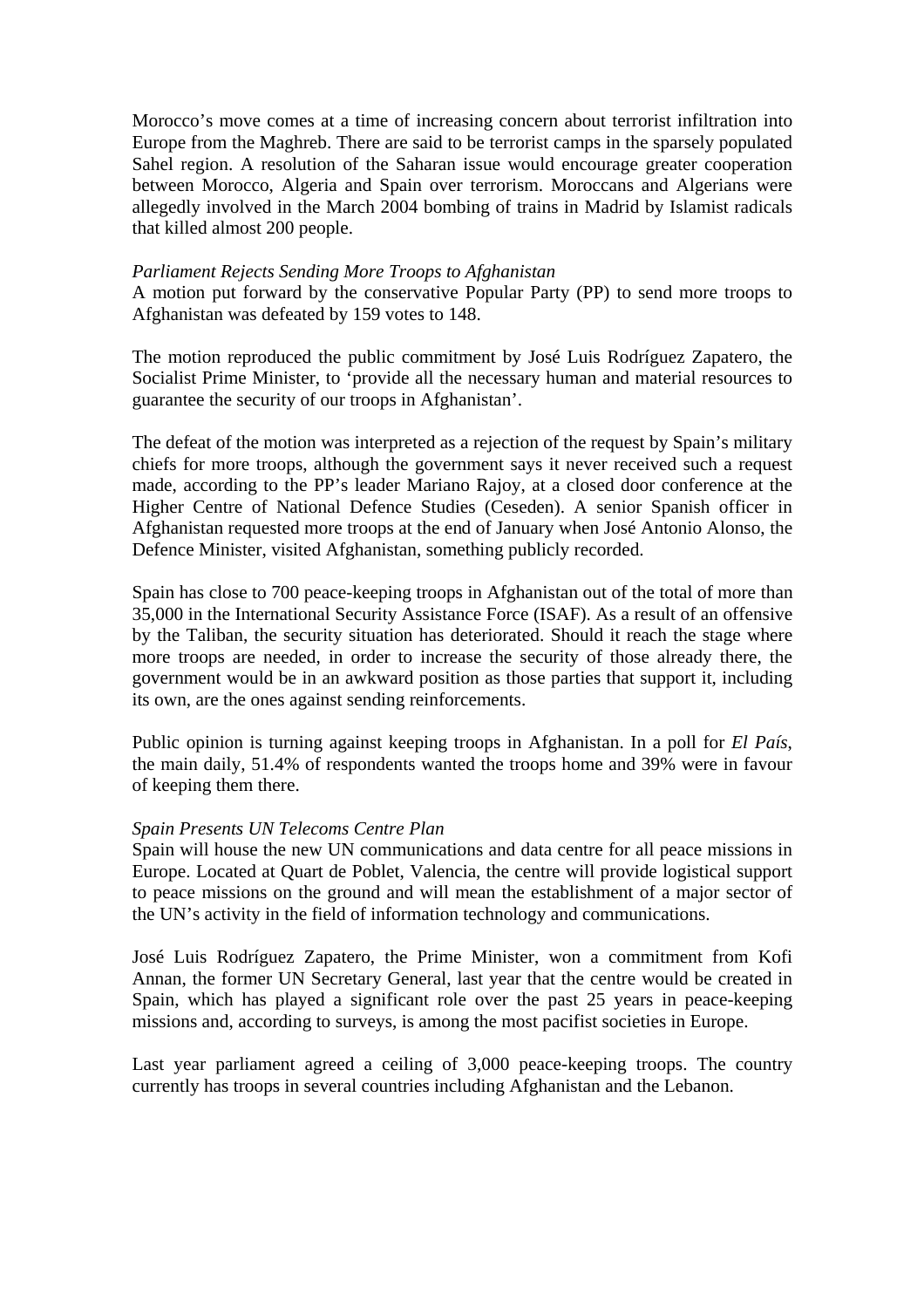Morocco's move comes at a time of increasing concern about terrorist infiltration into Europe from the Maghreb. There are said to be terrorist camps in the sparsely populated Sahel region. A resolution of the Saharan issue would encourage greater cooperation between Morocco, Algeria and Spain over terrorism. Moroccans and Algerians were allegedly involved in the March 2004 bombing of trains in Madrid by Islamist radicals that killed almost 200 people.

# *Parliament Rejects Sending More Troops to Afghanistan*

A motion put forward by the conservative Popular Party (PP) to send more troops to Afghanistan was defeated by 159 votes to 148.

The motion reproduced the public commitment by José Luis Rodríguez Zapatero, the Socialist Prime Minister, to 'provide all the necessary human and material resources to guarantee the security of our troops in Afghanistan'.

The defeat of the motion was interpreted as a rejection of the request by Spain's military chiefs for more troops, although the government says it never received such a request made, according to the PP's leader Mariano Rajoy, at a closed door conference at the Higher Centre of National Defence Studies (Ceseden). A senior Spanish officer in Afghanistan requested more troops at the end of January when José Antonio Alonso, the Defence Minister, visited Afghanistan, something publicly recorded.

Spain has close to 700 peace-keeping troops in Afghanistan out of the total of more than 35,000 in the International Security Assistance Force (ISAF). As a result of an offensive by the Taliban, the security situation has deteriorated. Should it reach the stage where more troops are needed, in order to increase the security of those already there, the government would be in an awkward position as those parties that support it, including its own, are the ones against sending reinforcements.

Public opinion is turning against keeping troops in Afghanistan. In a poll for *El País*, the main daily, 51.4% of respondents wanted the troops home and 39% were in favour of keeping them there.

### *Spain Presents UN Telecoms Centre Plan*

Spain will house the new UN communications and data centre for all peace missions in Europe. Located at Quart de Poblet, Valencia, the centre will provide logistical support to peace missions on the ground and will mean the establishment of a major sector of the UN's activity in the field of information technology and communications.

José Luis Rodríguez Zapatero, the Prime Minister, won a commitment from Kofi Annan, the former UN Secretary General, last year that the centre would be created in Spain, which has played a significant role over the past 25 years in peace-keeping missions and, according to surveys, is among the most pacifist societies in Europe.

Last year parliament agreed a ceiling of 3,000 peace-keeping troops. The country currently has troops in several countries including Afghanistan and the Lebanon.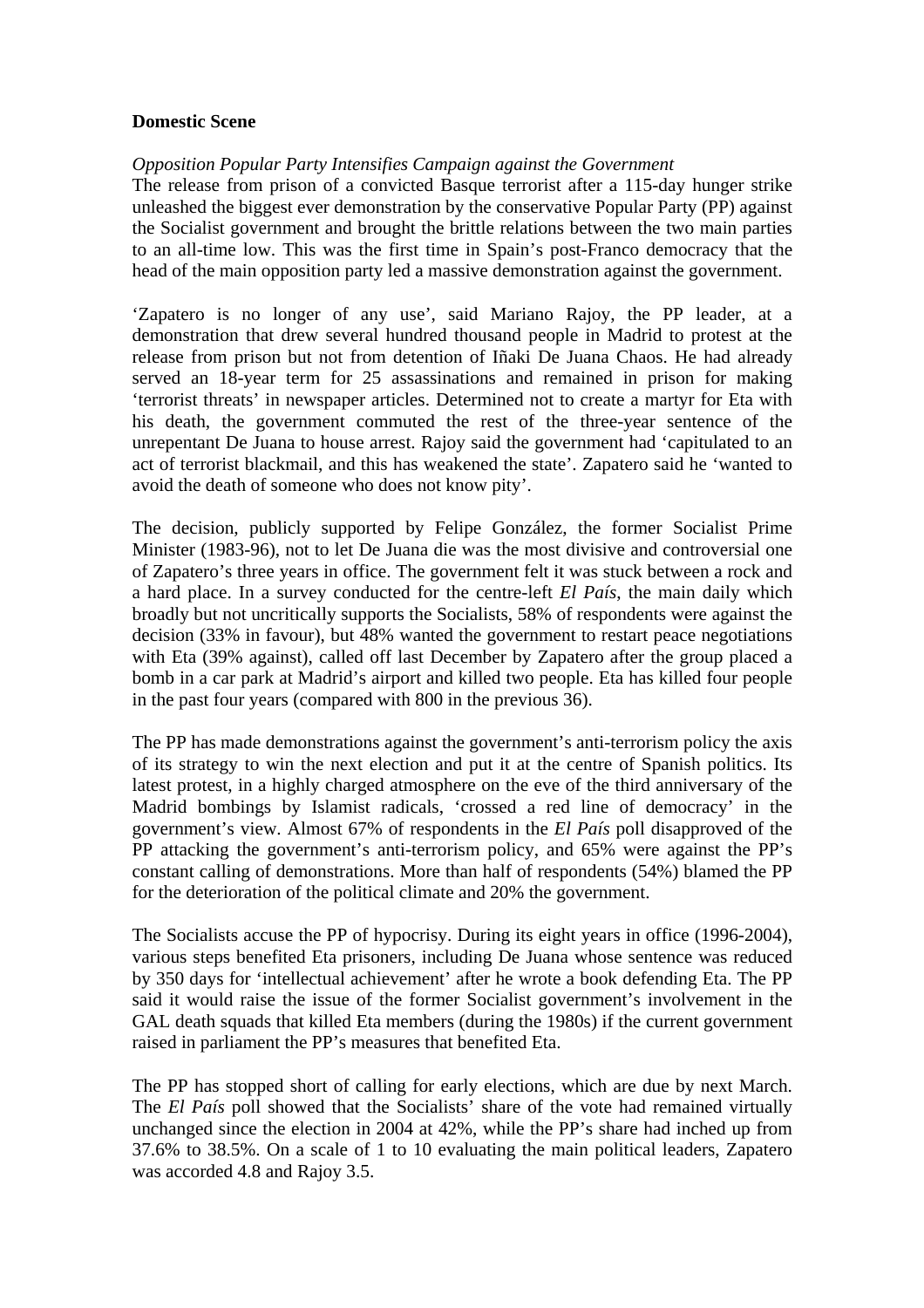# **Domestic Scene**

### *Opposition Popular Party Intensifies Campaign against the Government*

The release from prison of a convicted Basque terrorist after a 115-day hunger strike unleashed the biggest ever demonstration by the conservative Popular Party (PP) against the Socialist government and brought the brittle relations between the two main parties to an all-time low. This was the first time in Spain's post-Franco democracy that the head of the main opposition party led a massive demonstration against the government.

'Zapatero is no longer of any use', said Mariano Rajoy, the PP leader, at a demonstration that drew several hundred thousand people in Madrid to protest at the release from prison but not from detention of Iñaki De Juana Chaos. He had already served an 18-year term for 25 assassinations and remained in prison for making 'terrorist threats' in newspaper articles. Determined not to create a martyr for Eta with his death, the government commuted the rest of the three-year sentence of the unrepentant De Juana to house arrest. Rajoy said the government had 'capitulated to an act of terrorist blackmail, and this has weakened the state'. Zapatero said he 'wanted to avoid the death of someone who does not know pity'.

The decision, publicly supported by Felipe González, the former Socialist Prime Minister (1983-96), not to let De Juana die was the most divisive and controversial one of Zapatero's three years in office. The government felt it was stuck between a rock and a hard place. In a survey conducted for the centre-left *El País*, the main daily which broadly but not uncritically supports the Socialists, 58% of respondents were against the decision (33% in favour), but 48% wanted the government to restart peace negotiations with Eta (39% against), called off last December by Zapatero after the group placed a bomb in a car park at Madrid's airport and killed two people. Eta has killed four people in the past four years (compared with 800 in the previous 36).

The PP has made demonstrations against the government's anti-terrorism policy the axis of its strategy to win the next election and put it at the centre of Spanish politics. Its latest protest, in a highly charged atmosphere on the eve of the third anniversary of the Madrid bombings by Islamist radicals, 'crossed a red line of democracy' in the government's view. Almost 67% of respondents in the *El País* poll disapproved of the PP attacking the government's anti-terrorism policy, and 65% were against the PP's constant calling of demonstrations. More than half of respondents (54%) blamed the PP for the deterioration of the political climate and 20% the government.

The Socialists accuse the PP of hypocrisy. During its eight years in office (1996-2004), various steps benefited Eta prisoners, including De Juana whose sentence was reduced by 350 days for 'intellectual achievement' after he wrote a book defending Eta. The PP said it would raise the issue of the former Socialist government's involvement in the GAL death squads that killed Eta members (during the 1980s) if the current government raised in parliament the PP's measures that benefited Eta.

The PP has stopped short of calling for early elections, which are due by next March. The *El País* poll showed that the Socialists' share of the vote had remained virtually unchanged since the election in 2004 at 42%, while the PP's share had inched up from 37.6% to 38.5%. On a scale of 1 to 10 evaluating the main political leaders, Zapatero was accorded 4.8 and Rajoy 3.5.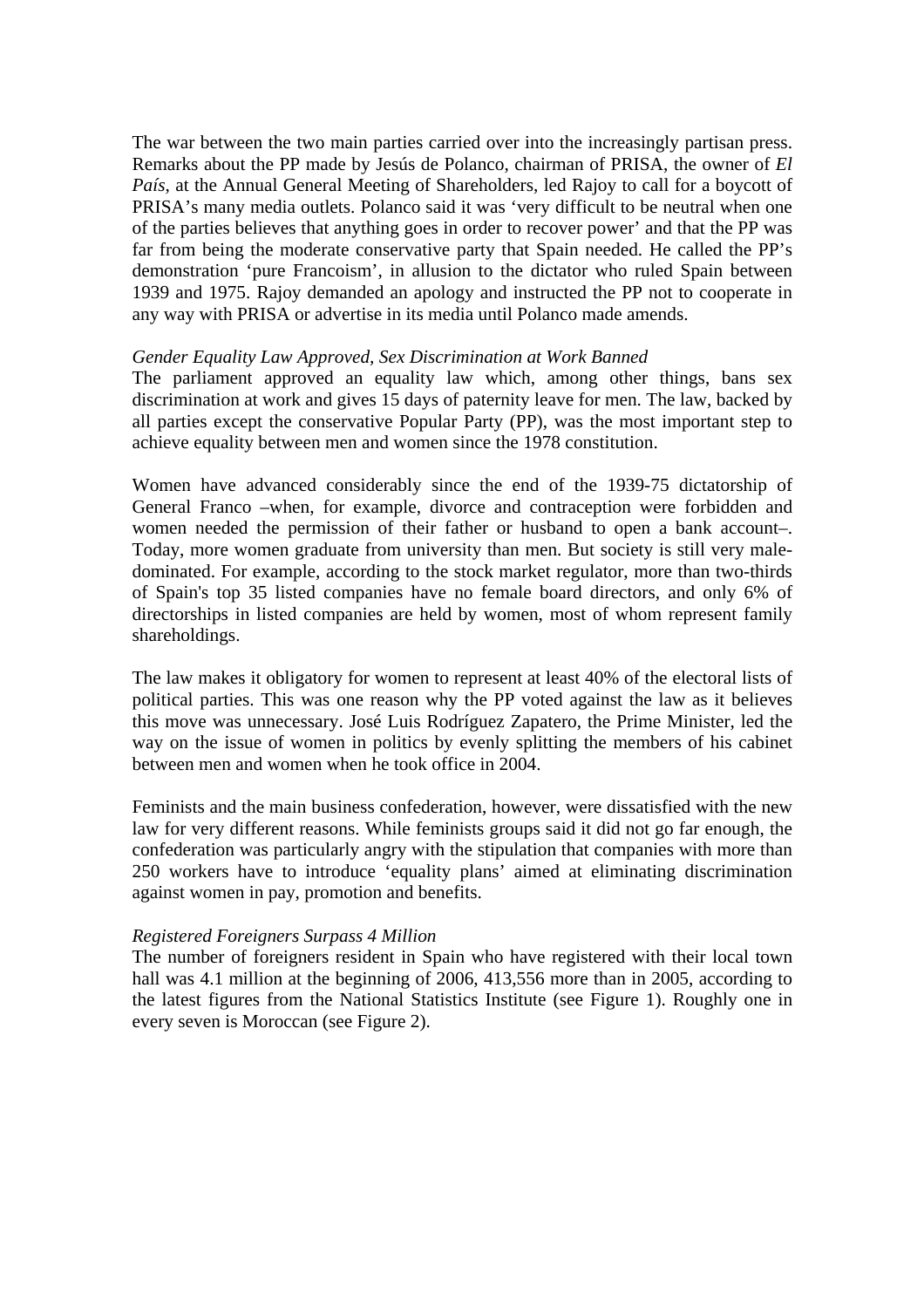The war between the two main parties carried over into the increasingly partisan press. Remarks about the PP made by Jesús de Polanco, chairman of PRISA, the owner of *El País*, at the Annual General Meeting of Shareholders, led Rajoy to call for a boycott of PRISA's many media outlets. Polanco said it was 'very difficult to be neutral when one of the parties believes that anything goes in order to recover power' and that the PP was far from being the moderate conservative party that Spain needed. He called the PP's demonstration 'pure Francoism', in allusion to the dictator who ruled Spain between 1939 and 1975. Rajoy demanded an apology and instructed the PP not to cooperate in any way with PRISA or advertise in its media until Polanco made amends.

### *Gender Equality Law Approved, Sex Discrimination at Work Banned*

The parliament approved an equality law which, among other things, bans sex discrimination at work and gives 15 days of paternity leave for men. The law, backed by all parties except the conservative Popular Party (PP), was the most important step to achieve equality between men and women since the 1978 constitution.

Women have advanced considerably since the end of the 1939-75 dictatorship of General Franco –when, for example, divorce and contraception were forbidden and women needed the permission of their father or husband to open a bank account–. Today, more women graduate from university than men. But society is still very maledominated. For example, according to the stock market regulator, more than two-thirds of Spain's top 35 listed companies have no female board directors, and only 6% of directorships in listed companies are held by women, most of whom represent family shareholdings.

The law makes it obligatory for women to represent at least 40% of the electoral lists of political parties. This was one reason why the PP voted against the law as it believes this move was unnecessary. José Luis Rodríguez Zapatero, the Prime Minister, led the way on the issue of women in politics by evenly splitting the members of his cabinet between men and women when he took office in 2004.

Feminists and the main business confederation, however, were dissatisfied with the new law for very different reasons. While feminists groups said it did not go far enough, the confederation was particularly angry with the stipulation that companies with more than 250 workers have to introduce 'equality plans' aimed at eliminating discrimination against women in pay, promotion and benefits.

### *Registered Foreigners Surpass 4 Million*

The number of foreigners resident in Spain who have registered with their local town hall was 4.1 million at the beginning of 2006, 413,556 more than in 2005, according to the latest figures from the National Statistics Institute (see Figure 1). Roughly one in every seven is Moroccan (see Figure 2).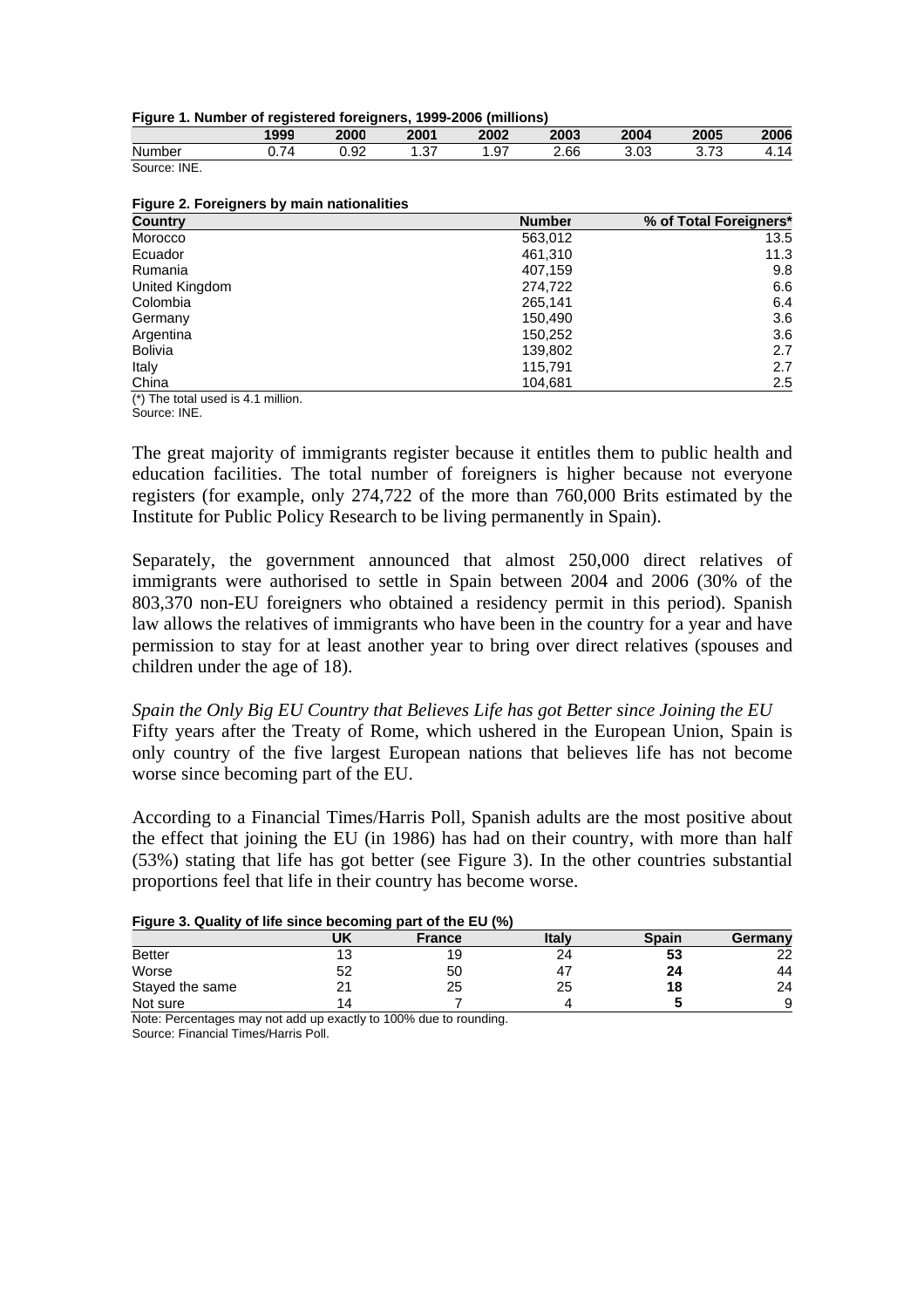|  | Figure 1. Number of registered foreigners, 1999-2006 (millions) |  |  |
|--|-----------------------------------------------------------------|--|--|
|  |                                                                 |  |  |

|                                |        | . .            |                |                  |      |                |                                      |      |
|--------------------------------|--------|----------------|----------------|------------------|------|----------------|--------------------------------------|------|
|                                | 1999   | 2000           | 2001           | 2002             | 2003 | 2004           | 2005                                 | 2006 |
| $\ddot{\phantom{1}}$<br>Number | _<br>. | $\sim$<br>0.92 | $\sim$<br>، ب، | $\sim$<br>◡<br>. | 2.66 | $\sim$<br>J.UJ | $\overline{\phantom{a}}$<br>ັບ.<br>v | .    |
|                                |        |                |                |                  |      |                |                                      |      |

| Number       | -<br>$\sqrt{ }$<br>◡.≀ | $\sim$<br>◡<br>∪.⊍∠ | $\sim$<br>، ب | $\sim$<br>، 9. | 2.66 | $\sim$<br>ა.∪ა | $\overline{\phantom{a}}$<br>ັ<br>ັ. | $\overline{\phantom{a}}$<br>┑<br>᠇. . |
|--------------|------------------------|---------------------|---------------|----------------|------|----------------|-------------------------------------|---------------------------------------|
| Source: INE. |                        |                     |               |                |      |                |                                     |                                       |

| Figure 2. Foreigners by main nationalities |  |  |
|--------------------------------------------|--|--|
|--------------------------------------------|--|--|

| Country        | <b>Number</b> | % of Total Foreigners* |
|----------------|---------------|------------------------|
| Morocco        | 563,012       | 13.5                   |
| Ecuador        | 461.310       | 11.3                   |
| Rumania        | 407,159       | 9.8                    |
| United Kingdom | 274,722       | 6.6                    |
| Colombia       | 265,141       | 6.4                    |
| Germany        | 150.490       | 3.6                    |
| Argentina      | 150,252       | 3.6                    |
| <b>Bolivia</b> | 139,802       | 2.7                    |
| Italy          | 115,791       | 2.7                    |
| China          | 104,681       | 2.5                    |

(\*) The total used is 4.1 million.

Source: INE.

The great majority of immigrants register because it entitles them to public health and education facilities. The total number of foreigners is higher because not everyone registers (for example, only 274,722 of the more than 760,000 Brits estimated by the Institute for Public Policy Research to be living permanently in Spain).

Separately, the government announced that almost 250,000 direct relatives of immigrants were authorised to settle in Spain between 2004 and 2006 (30% of the 803,370 non-EU foreigners who obtained a residency permit in this period). Spanish law allows the relatives of immigrants who have been in the country for a year and have permission to stay for at least another year to bring over direct relatives (spouses and children under the age of 18).

*Spain the Only Big EU Country that Believes Life has got Better since Joining the EU*  Fifty years after the Treaty of Rome, which ushered in the European Union, Spain is only country of the five largest European nations that believes life has not become worse since becoming part of the EU.

According to a Financial Times/Harris Poll, Spanish adults are the most positive about the effect that joining the EU (in 1986) has had on their country, with more than half (53%) stating that life has got better (see Figure 3). In the other countries substantial proportions feel that life in their country has become worse.

#### **Figure 3. Quality of life since becoming part of the EU (%)**

|                 | UK                                                             | --<br><b>France</b> | Italv | <b>Spain</b> | Germany |
|-----------------|----------------------------------------------------------------|---------------------|-------|--------------|---------|
| <b>Better</b>   | J                                                              | 19                  | 24    | აა           | 22      |
| Worse           | 52                                                             | 50                  | 4     | 24           | 44      |
| Stayed the same |                                                                | 25                  | 25    | 18           | 24      |
| Not sure        | $^{\circ}$ 4                                                   |                     |       |              | 9       |
| $\cdots$        | . .<br>$\cdot$ $\cdot$ $\cdot$ $\cdot$ $\cdot$ $\cdot$ $\cdot$ | $\cdots$            |       |              |         |

Note: Percentages may not add up exactly to 100% due to rounding. Source: Financial Times/Harris Poll.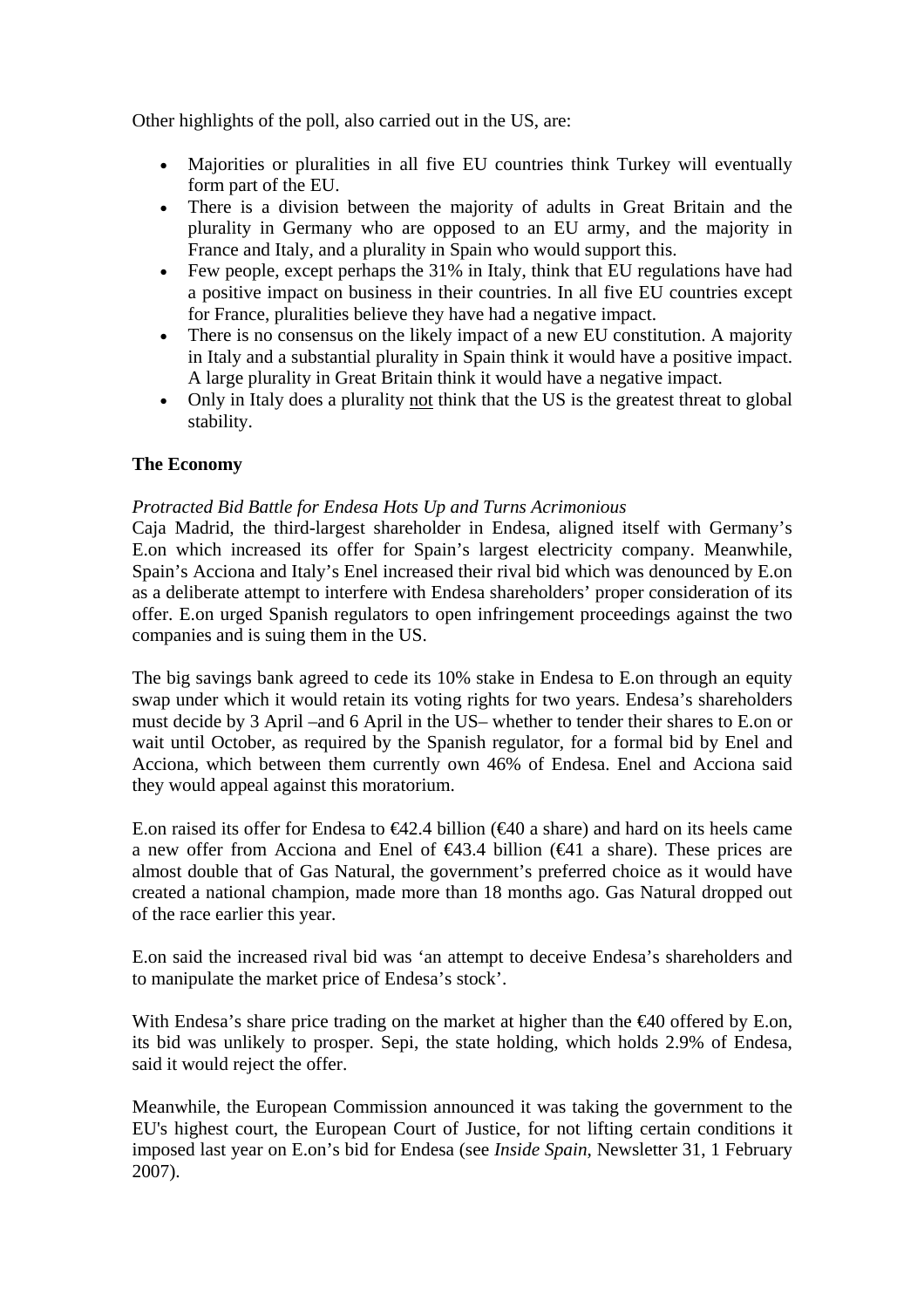Other highlights of the poll, also carried out in the US, are:

- Majorities or pluralities in all five EU countries think Turkey will eventually form part of the EU.
- There is a division between the majority of adults in Great Britain and the plurality in Germany who are opposed to an EU army, and the majority in France and Italy, and a plurality in Spain who would support this.
- Few people, except perhaps the 31% in Italy, think that EU regulations have had a positive impact on business in their countries. In all five EU countries except for France, pluralities believe they have had a negative impact.
- There is no consensus on the likely impact of a new EU constitution. A majority in Italy and a substantial plurality in Spain think it would have a positive impact. A large plurality in Great Britain think it would have a negative impact.
- Only in Italy does a plurality not think that the US is the greatest threat to global stability.

# **The Economy**

# *Protracted Bid Battle for Endesa Hots Up and Turns Acrimonious*

Caja Madrid, the third-largest shareholder in Endesa, aligned itself with Germany's E.on which increased its offer for Spain's largest electricity company. Meanwhile, Spain's Acciona and Italy's Enel increased their rival bid which was denounced by E.on as a deliberate attempt to interfere with Endesa shareholders' proper consideration of its offer. E.on urged Spanish regulators to open infringement proceedings against the two companies and is suing them in the US.

The big savings bank agreed to cede its 10% stake in Endesa to E.on through an equity swap under which it would retain its voting rights for two years. Endesa's shareholders must decide by 3 April –and 6 April in the US– whether to tender their shares to E.on or wait until October, as required by the Spanish regulator, for a formal bid by Enel and Acciona, which between them currently own 46% of Endesa. Enel and Acciona said they would appeal against this moratorium.

E.on raised its offer for Endesa to  $\epsilon 42.4$  billion ( $\epsilon 40$  a share) and hard on its heels came a new offer from Acciona and Enel of  $\bigoplus$  43.4 billion ( $\bigoplus$  1 a share). These prices are almost double that of Gas Natural, the government's preferred choice as it would have created a national champion, made more than 18 months ago. Gas Natural dropped out of the race earlier this year.

E.on said the increased rival bid was 'an attempt to deceive Endesa's shareholders and to manipulate the market price of Endesa's stock'.

With Endesa's share price trading on the market at higher than the €40 offered by E.on, its bid was unlikely to prosper. Sepi, the state holding, which holds 2.9% of Endesa, said it would reject the offer.

Meanwhile, the European Commission announced it was taking the government to the EU's highest court, the European Court of Justice, for not lifting certain conditions it imposed last year on E.on's bid for Endesa (see *Inside Spain*, Newsletter 31, 1 February 2007).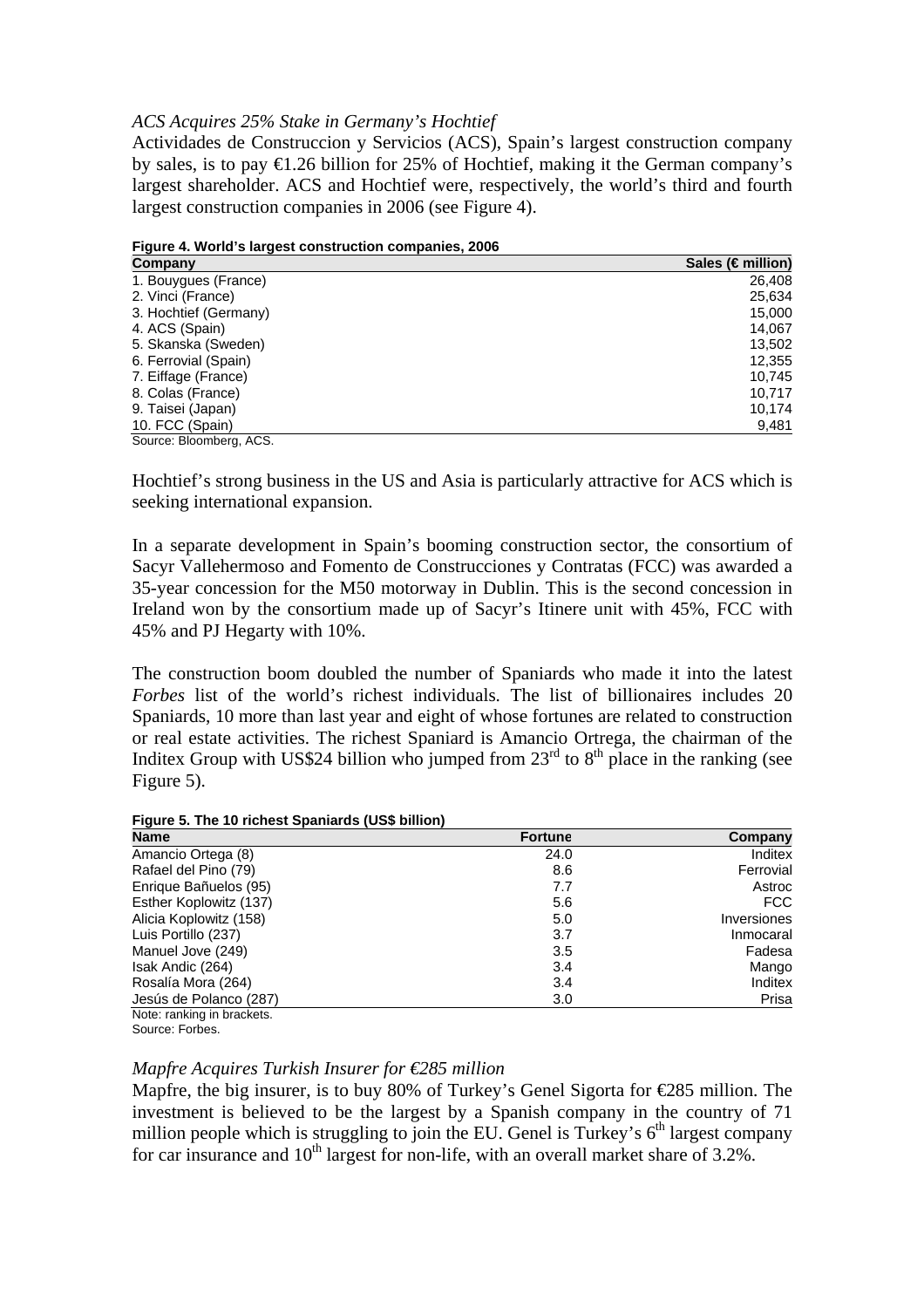### *ACS Acquires 25% Stake in Germany's Hochtief*

Actividades de Construccion y Servicios (ACS), Spain's largest construction company by sales, is to pay  $\bigoplus$  26 billion for 25% of Hochtief, making it the German company's largest shareholder. ACS and Hochtief were, respectively, the world's third and fourth largest construction companies in 2006 (see Figure 4).

**Figure 4. World's largest construction companies, 2006** 

| Company                        | Sales (€million) |
|--------------------------------|------------------|
| 1. Bouygues (France)           | 26,408           |
| 2. Vinci (France)              | 25,634           |
| 3. Hochtief (Germany)          | 15,000           |
| 4. ACS (Spain)                 | 14,067           |
| 5. Skanska (Sweden)            | 13,502           |
| 6. Ferrovial (Spain)           | 12,355           |
| 7. Eiffage (France)            | 10,745           |
| 8. Colas (France)              | 10.717           |
| 9. Taisei (Japan)              | 10,174           |
| 10. FCC (Spain)<br>$\sim$ $ -$ | 9,481            |

Source: Bloomberg, ACS.

Hochtief's strong business in the US and Asia is particularly attractive for ACS which is seeking international expansion.

In a separate development in Spain's booming construction sector, the consortium of Sacyr Vallehermoso and Fomento de Construcciones y Contratas (FCC) was awarded a 35-year concession for the M50 motorway in Dublin. This is the second concession in Ireland won by the consortium made up of Sacyr's Itinere unit with 45%, FCC with 45% and PJ Hegarty with 10%.

The construction boom doubled the number of Spaniards who made it into the latest *Forbes* list of the world's richest individuals. The list of billionaires includes 20 Spaniards, 10 more than last year and eight of whose fortunes are related to construction or real estate activities. The richest Spaniard is Amancio Ortrega, the chairman of the Inditex Group with US\$24 billion who jumped from  $23<sup>rd</sup>$  to  $8<sup>th</sup>$  place in the ranking (see Figure 5).

| Figure 5. The 10 richest Spaniards (US\$ billion) |  |
|---------------------------------------------------|--|
|---------------------------------------------------|--|

| <b>Name</b>                | <b>Fortune</b> | Company     |
|----------------------------|----------------|-------------|
| Amancio Ortega (8)         | 24.0           | Inditex     |
| Rafael del Pino (79)       | 8.6            | Ferrovial   |
| Enrique Bañuelos (95)      | 7.7            | Astroc      |
| Esther Koplowitz (137)     | 5.6            | FCC         |
| Alicia Koplowitz (158)     | 5.0            | Inversiones |
| Luis Portillo (237)        | 3.7            | Inmocaral   |
| Manuel Jove (249)          | 3.5            | Fadesa      |
| Isak Andic (264)           | 3.4            | Mango       |
| Rosalía Mora (264)         | 3.4            | Inditex     |
| Jesús de Polanco (287)     | 3.0            | Prisa       |
| Note: ranking in brackets. |                |             |

Source: Forbes.

# *Mapfre Acquires Turkish Insurer for €285 million*

Mapfre, the big insurer, is to buy 80% of Turkey's Genel Sigorta for €285 million. The investment is believed to be the largest by a Spanish company in the country of 71 million people which is struggling to join the EU. Genel is Turkey's  $6<sup>th</sup>$  largest company for car insurance and  $10^{th}$  largest for non-life, with an overall market share of 3.2%.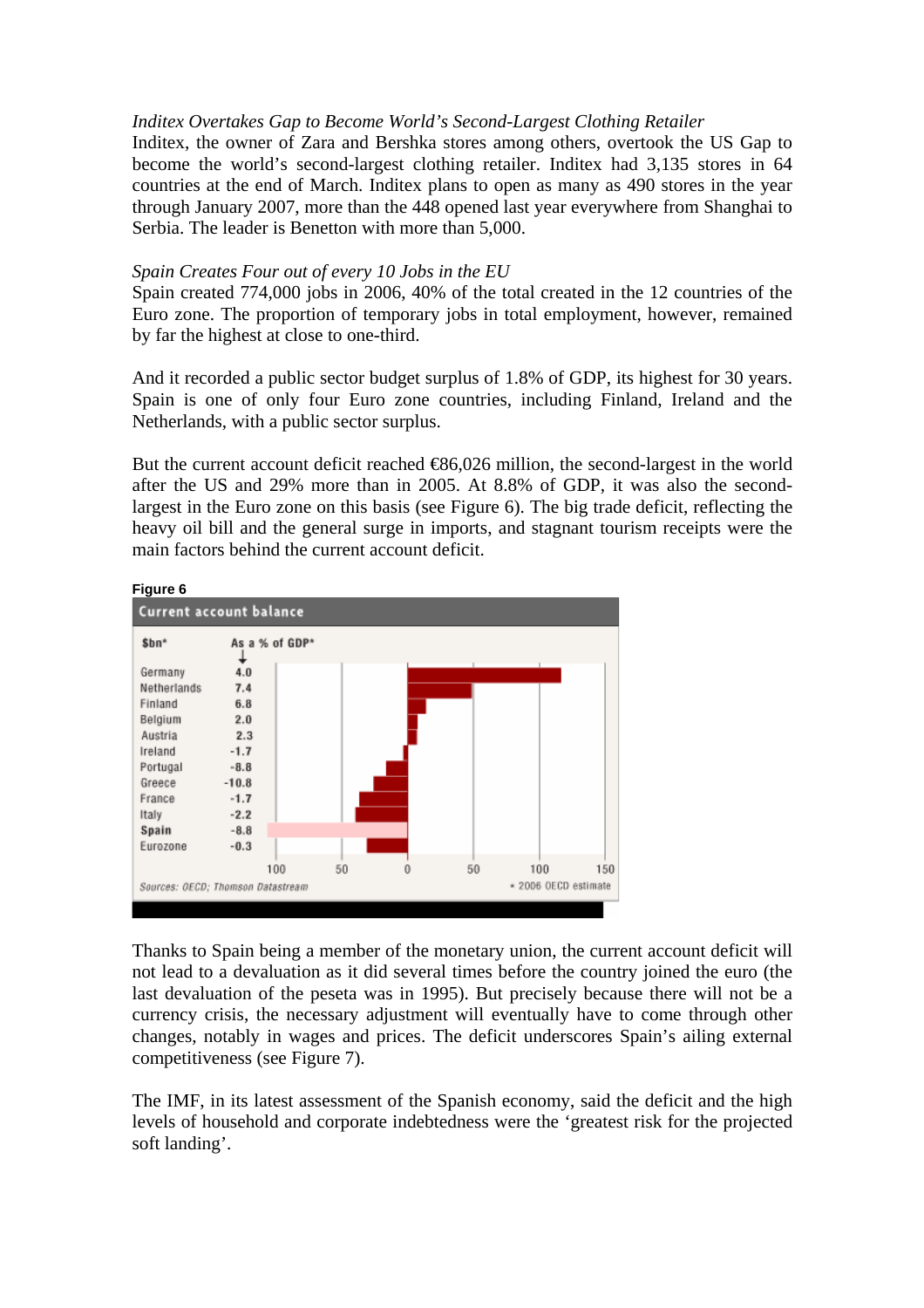# *Inditex Overtakes Gap to Become World's Second-Largest Clothing Retailer*

Inditex, the owner of Zara and Bershka stores among others, overtook the US Gap to become the world's second-largest clothing retailer. Inditex had 3,135 stores in 64 countries at the end of March. Inditex plans to open as many as 490 stores in the year through January 2007, more than the 448 opened last year everywhere from Shanghai to Serbia. The leader is Benetton with more than 5,000.

# *Spain Creates Four out of every 10 Jobs in the EU*

Spain created 774,000 jobs in 2006, 40% of the total created in the 12 countries of the Euro zone. The proportion of temporary jobs in total employment, however, remained by far the highest at close to one-third.

And it recorded a public sector budget surplus of 1.8% of GDP, its highest for 30 years. Spain is one of only four Euro zone countries, including Finland, Ireland and the Netherlands, with a public sector surplus.

But the current account deficit reached  $\bigoplus 6,026$  million, the second-largest in the world after the US and 29% more than in 2005. At 8.8% of GDP, it was also the secondlargest in the Euro zone on this basis (see Figure 6). The big trade deficit, reflecting the heavy oil bill and the general surge in imports, and stagnant tourism receipts were the main factors behind the current account deficit.



Thanks to Spain being a member of the monetary union, the current account deficit will not lead to a devaluation as it did several times before the country joined the euro (the last devaluation of the peseta was in 1995). But precisely because there will not be a currency crisis, the necessary adjustment will eventually have to come through other changes, notably in wages and prices. The deficit underscores Spain's ailing external competitiveness (see Figure 7).

The IMF, in its latest assessment of the Spanish economy, said the deficit and the high levels of household and corporate indebtedness were the 'greatest risk for the projected soft landing'.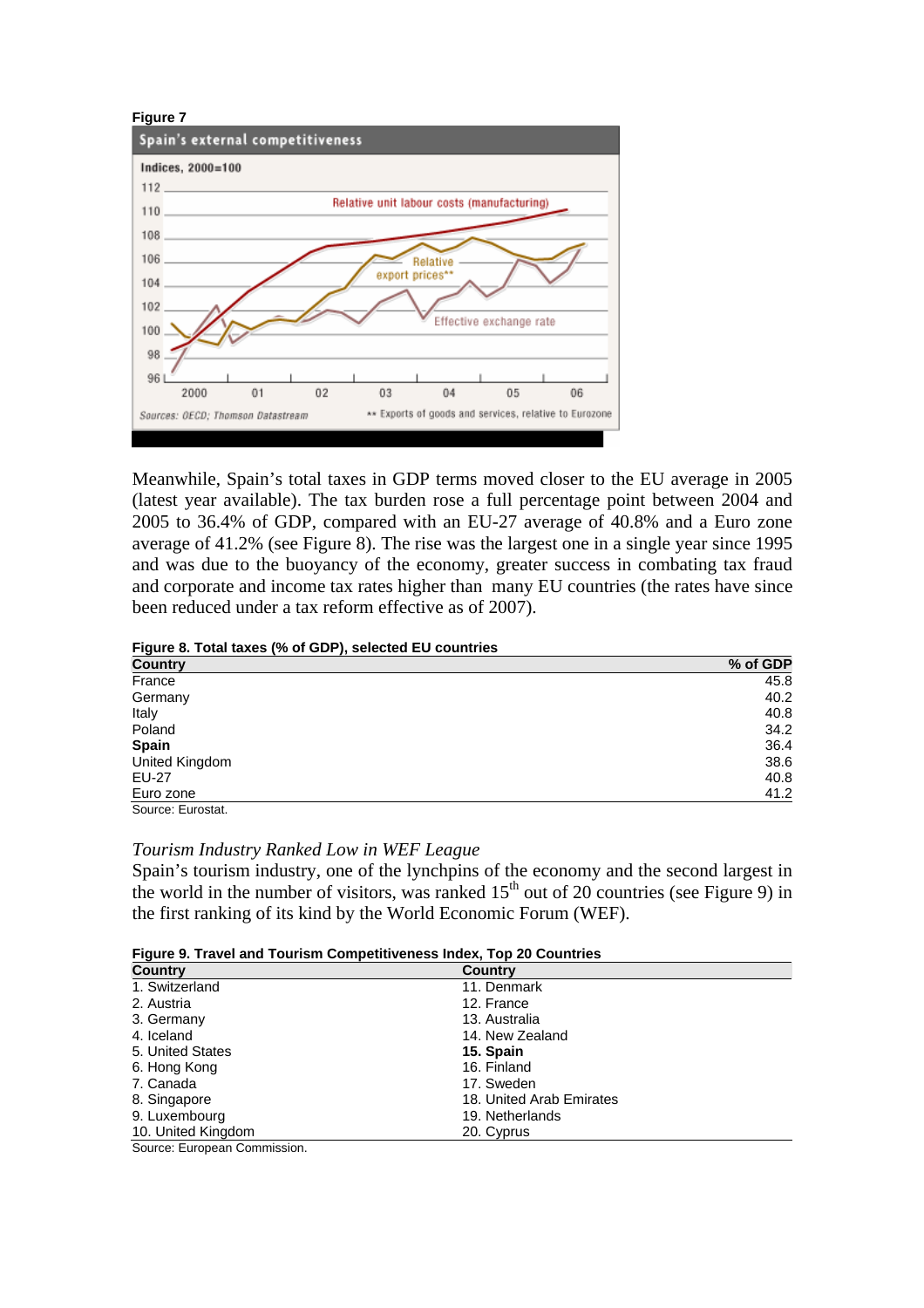

Meanwhile, Spain's total taxes in GDP terms moved closer to the EU average in 2005 (latest year available). The tax burden rose a full percentage point between 2004 and 2005 to 36.4% of GDP, compared with an EU-27 average of 40.8% and a Euro zone average of 41.2% (see Figure 8). The rise was the largest one in a single year since 1995 and was due to the buoyancy of the economy, greater success in combating tax fraud and corporate and income tax rates higher than many EU countries (the rates have since been reduced under a tax reform effective as of 2007).

#### **Figure 8. Total taxes (% of GDP), selected EU countries**

| <b>Country</b>              | % of GDP |
|-----------------------------|----------|
| France                      | 45.8     |
| Germany                     | 40.2     |
| Italy                       | 40.8     |
| Poland                      | 34.2     |
| <b>Spain</b>                | 36.4     |
| United Kingdom              | 38.6     |
| <b>EU-27</b>                | 40.8     |
| Euro zone                   | 41.2     |
| $\sim$ $\sim$ $\sim$ $\sim$ |          |

Source: Eurostat.

### *Tourism Industry Ranked Low in WEF League*

Spain's tourism industry, one of the lynchpins of the economy and the second largest in the world in the number of visitors, was ranked  $15<sup>th</sup>$  out of 20 countries (see Figure 9) in the first ranking of its kind by the World Economic Forum (WEF).

| Figure 9. Travel and Tourism Competitiveness Index, Top 20 Countries |
|----------------------------------------------------------------------|
|----------------------------------------------------------------------|

| <b>Country</b>     | Country                  |
|--------------------|--------------------------|
| 1. Switzerland     | 11. Denmark              |
| 2. Austria         | 12. France               |
| 3. Germany         | 13. Australia            |
| 4. Iceland         | 14. New Zealand          |
| 5. United States   | 15. Spain                |
| 6. Hong Kong       | 16. Finland              |
| 7. Canada          | 17. Sweden               |
| 8. Singapore       | 18. United Arab Emirates |
| 9. Luxembourg      | 19. Netherlands          |
| 10. United Kingdom | 20. Cyprus               |

Source: European Commission.